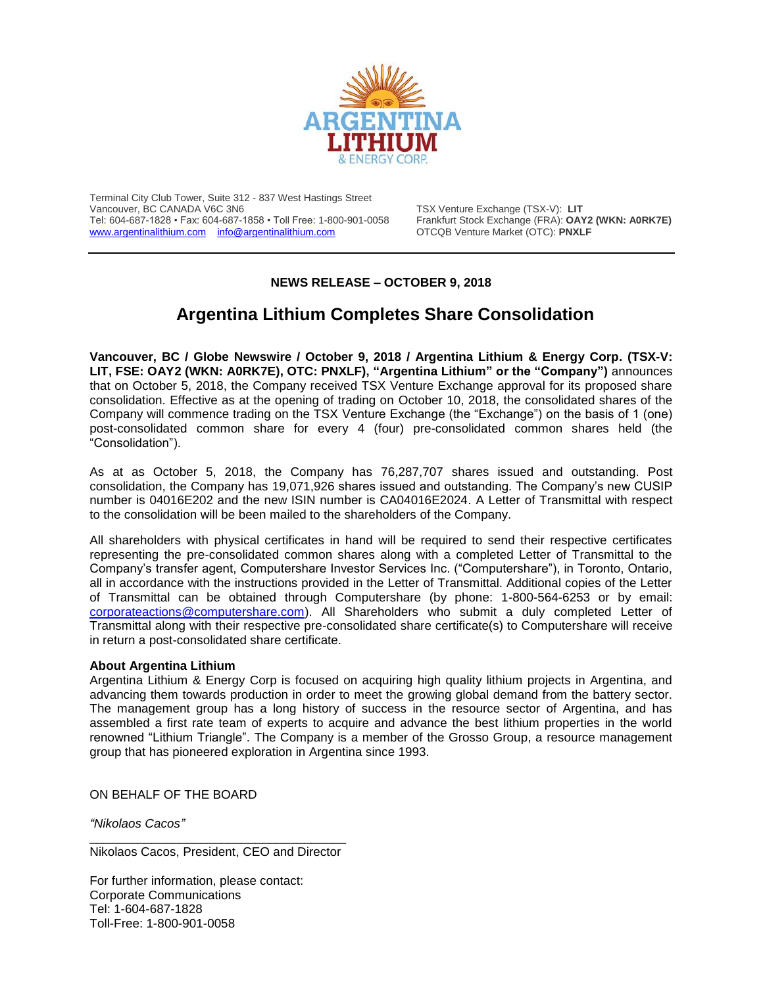

Terminal City Club Tower, Suite 312 - 837 West Hastings Street Vancouver, BC CANADA V6C 3N6 TSX Venture Exchange (TSX-V): **LIT** Tel: 604-687-1828 • Fax: 604-687-1858 • Toll Free: 1-800-901-0058 Frankfurt Stock Exchange (FRA): **OAY2 (WKN: A0RK7E)** [www.argentinalithium.com](http://www.argentinalithium.com/) [info@argentinalithium.com](mailto:info@argentinalithium.com)

## **NEWS RELEASE – OCTOBER 9, 2018**

## **Argentina Lithium Completes Share Consolidation**

**Vancouver, BC / Globe Newswire / October 9, 2018 / Argentina Lithium & Energy Corp. (TSX-V: LIT, FSE: OAY2 (WKN: A0RK7E), OTC: PNXLF), "Argentina Lithium" or the "Company")** announces that on October 5, 2018, the Company received TSX Venture Exchange approval for its proposed share consolidation. Effective as at the opening of trading on October 10, 2018, the consolidated shares of the Company will commence trading on the TSX Venture Exchange (the "Exchange") on the basis of 1 (one) post-consolidated common share for every 4 (four) pre-consolidated common shares held (the "Consolidation").

As at as October 5, 2018, the Company has 76,287,707 shares issued and outstanding. Post consolidation, the Company has 19,071,926 shares issued and outstanding. The Company's new CUSIP number is 04016E202 and the new ISIN number is CA04016E2024. A Letter of Transmittal with respect to the consolidation will be been mailed to the shareholders of the Company.

All shareholders with physical certificates in hand will be required to send their respective certificates representing the pre-consolidated common shares along with a completed Letter of Transmittal to the Company's transfer agent, Computershare Investor Services Inc. ("Computershare"), in Toronto, Ontario, all in accordance with the instructions provided in the Letter of Transmittal. Additional copies of the Letter of Transmittal can be obtained through Computershare (by phone: 1-800-564-6253 or by email: [corporateactions@computershare.com\)](mailto:corporateactions@computershare.com). All Shareholders who submit a duly completed Letter of Transmittal along with their respective pre-consolidated share certificate(s) to Computershare will receive in return a post-consolidated share certificate.

## **About Argentina Lithium**

Argentina Lithium & Energy Corp is focused on acquiring high quality lithium projects in Argentina, and advancing them towards production in order to meet the growing global demand from the battery sector. The management group has a long history of success in the resource sector of Argentina, and has assembled a first rate team of experts to acquire and advance the best lithium properties in the world renowned "Lithium Triangle". The Company is a member of the Grosso Group, a resource management group that has pioneered exploration in Argentina since 1993.

ON BEHALF OF THE BOARD

*"Nikolaos Cacos"*

\_\_\_\_\_\_\_\_\_\_\_\_\_\_\_\_\_\_\_\_\_\_\_\_\_\_\_\_\_\_\_\_\_\_\_\_\_ Nikolaos Cacos, President, CEO and Director

For further information, please contact: Corporate Communications Tel: 1-604-687-1828 Toll-Free: 1-800-901-0058